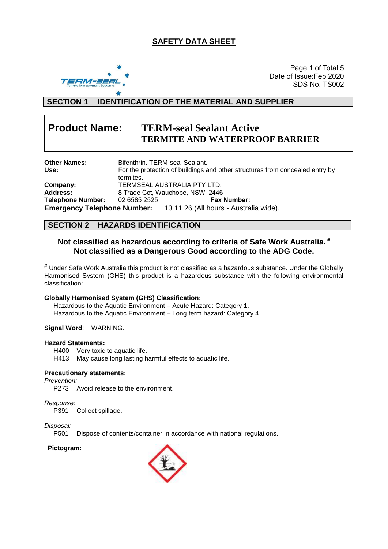## **SAFETY DATA SHEET**



 Date of Issue:Feb 2020 Page 1 of Total 5 SDS No. TS002

## **SECTION 1 IDENTIFICATION OF THE MATERIAL AND SUPPLIER**

## **Product Name: TERM-seal Sealant Active TERMITE AND WATERPROOF BARRIER**

| <b>Other Names:</b>      |              | Bifenthrin, TERM-seal Sealant,                                               |
|--------------------------|--------------|------------------------------------------------------------------------------|
| Use:                     | termites.    | For the protection of buildings and other structures from concealed entry by |
|                          |              |                                                                              |
| Company:                 |              | TERMSEAL AUSTRALIA PTY LTD.                                                  |
| <b>Address:</b>          |              | 8 Trade Cct, Wauchope, NSW, 2446                                             |
| <b>Telephone Number:</b> | 02 6585 2525 | <b>Fax Number:</b>                                                           |
|                          |              | <b>Emergency Telephone Number:</b> 13 11 26 (All hours - Australia wide).    |

## **SECTION 2 HAZARDS IDENTIFICATION**

## **Not classified as hazardous according to criteria of Safe Work Australia. # Not classified as a Dangerous Good according to the ADG Code.**

**#** Under Safe Work Australia this product is not classified as a hazardous substance. Under the Globally Harmonised System (GHS) this product is a hazardous substance with the following environmental classification:

#### **Globally Harmonised System (GHS) Classification:**

Hazardous to the Aquatic Environment – Acute Hazard: Category 1. Hazardous to the Aquatic Environment – Long term hazard: Category 4.

#### **Signal Word**: WARNING.

#### **Hazard Statements:**

H400 Very toxic to aquatic life.

H413 May cause long lasting harmful effects to aquatic life.

#### **Precautionary statements:**

*Prevention:*

P273 Avoid release to the environment.

#### *Response:*

P391 Collect spillage.

# *Disposal:*

Dispose of contents/container in accordance with national regulations.

#### **Pictogram:**

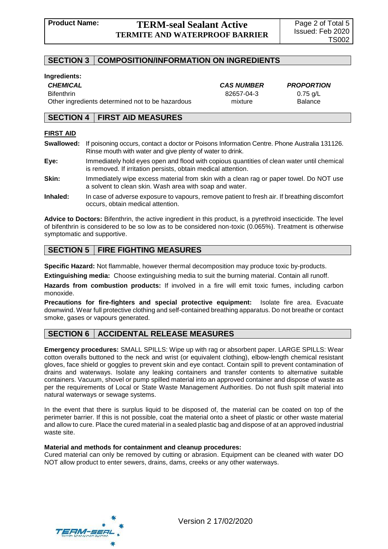## **Product Name: TERM-seal Sealant Active TERMITE AND WATERPROOF BARRIER**

## **SECTION 3 COMPOSITION/INFORMATION ON INGREDIENTS**

#### **Ingredients:**

*CHEMICAL CAS NUMBER PROPORTION*

Bifenthrin 82657-04-3 0.75 g/L Other ingredients determined not to be hazardous mixture mixture Balance

### **SECTION 4 FIRST AID MEASURES**

#### **FIRST AID**

**Swallowed:** If poisoning occurs, contact a doctor or Poisons Information Centre. Phone Australia 131126. Rinse mouth with water and give plenty of water to drink.

**Eye:** Immediately hold eyes open and flood with copious quantities of clean water until chemical is removed. If irritation persists, obtain medical attention.

- **Skin:** Immediately wipe excess material from skin with a clean rag or paper towel. Do NOT use a solvent to clean skin. Wash area with soap and water.
- **Inhaled:** In case of adverse exposure to vapours, remove patient to fresh air. If breathing discomfort occurs, obtain medical attention.

**Advice to Doctors:** Bifenthrin, the active ingredient in this product, is a pyrethroid insecticide. The level of bifenthrin is considered to be so low as to be considered non-toxic (0.065%). Treatment is otherwise symptomatic and supportive.

## **SECTION 5 FIRE FIGHTING MEASURES**

**Specific Hazard:** Not flammable, however thermal decomposition may produce toxic by-products.

**Extinguishing media:** Choose extinguishing media to suit the burning material. Contain all runoff.

**Hazards from combustion products:** If involved in a fire will emit toxic fumes, including carbon monoxide.

**Precautions for fire-fighters and special protective equipment:** Isolate fire area. Evacuate downwind. Wear full protective clothing and self-contained breathing apparatus. Do not breathe or contact smoke, gases or vapours generated.

## **SECTION 6 ACCIDENTAL RELEASE MEASURES**

**Emergency procedures:** SMALL SPILLS: Wipe up with rag or absorbent paper. LARGE SPILLS: Wear cotton overalls buttoned to the neck and wrist (or equivalent clothing), elbow-length chemical resistant gloves, face shield or goggles to prevent skin and eye contact. Contain spill to prevent contamination of drains and waterways. Isolate any leaking containers and transfer contents to alternative suitable containers. Vacuum, shovel or pump spilled material into an approved container and dispose of waste as per the requirements of Local or State Waste Management Authorities. Do not flush spilt material into natural waterways or sewage systems.

In the event that there is surplus liquid to be disposed of, the material can be coated on top of the perimeter barrier. If this is not possible, coat the material onto a sheet of plastic or other waste material and allow to cure. Place the cured material in a sealed plastic bag and dispose of at an approved industrial waste site.

#### **Material and methods for containment and cleanup procedures:**

Cured material can only be removed by cutting or abrasion. Equipment can be cleaned with water DO NOT allow product to enter sewers, drains, dams, creeks or any other waterways.

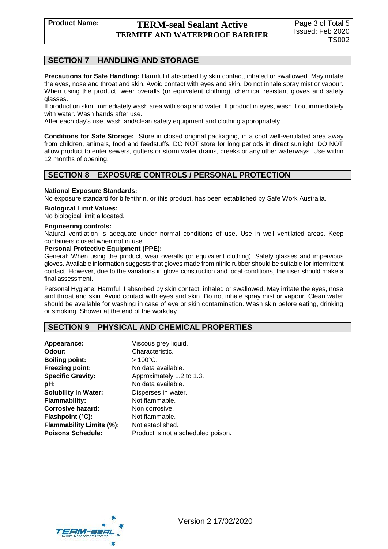## **SECTION 7 HANDLING AND STORAGE**

**Precautions for Safe Handling:** Harmful if absorbed by skin contact, inhaled or swallowed. May irritate the eyes, nose and throat and skin. Avoid contact with eyes and skin. Do not inhale spray mist or vapour. When using the product, wear overalls (or equivalent clothing), chemical resistant gloves and safety glasses.

If product on skin, immediately wash area with soap and water. If product in eyes, wash it out immediately with water. Wash hands after use.

After each day's use, wash and/clean safety equipment and clothing appropriately.

**Conditions for Safe Storage:** Store in closed original packaging, in a cool well-ventilated area away from children, animals, food and feedstuffs. DO NOT store for long periods in direct sunlight. DO NOT allow product to enter sewers, gutters or storm water drains, creeks or any other waterways. Use within 12 months of opening.

## **SECTION 8 EXPOSURE CONTROLS / PERSONAL PROTECTION**

#### **National Exposure Standards:**

No exposure standard for bifenthrin, or this product, has been established by Safe Work Australia.

#### **Biological Limit Values:**

No biological limit allocated.

#### **Engineering controls:**

Natural ventilation is adequate under normal conditions of use. Use in well ventilated areas. Keep containers closed when not in use.

#### **Personal Protective Equipment (PPE):**

General: When using the product, wear overalls (or equivalent clothing), Safety glasses and impervious gloves. Available information suggests that gloves made from nitrile rubber should be suitable for intermittent contact. However, due to the variations in glove construction and local conditions, the user should make a final assessment.

Personal Hygiene: Harmful if absorbed by skin contact, inhaled or swallowed. May irritate the eyes, nose and throat and skin. Avoid contact with eyes and skin. Do not inhale spray mist or vapour. Clean water should be available for washing in case of eye or skin contamination. Wash skin before eating, drinking or smoking. Shower at the end of the workday.

### **SECTION 9 PHYSICAL AND CHEMICAL PROPERTIES**

| Appearance:                 | Viscous grey liquid.               |
|-----------------------------|------------------------------------|
| Odour:                      | Characteristic.                    |
| <b>Boiling point:</b>       | $>100^{\circ}$ C.                  |
| <b>Freezing point:</b>      | No data available.                 |
| <b>Specific Gravity:</b>    | Approximately 1.2 to 1.3.          |
| pH:                         | No data available.                 |
| <b>Solubility in Water:</b> | Disperses in water.                |
| <b>Flammability:</b>        | Not flammable.                     |
| Corrosive hazard:           | Non corrosive.                     |
| Flashpoint (°C):            | Not flammable.                     |
| Flammability Limits (%):    | Not established.                   |
| <b>Poisons Schedule:</b>    | Product is not a scheduled poison. |

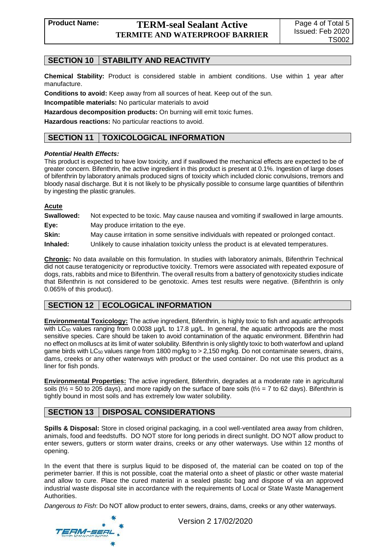## **SECTION 10 STABILITY AND REACTIVITY**

**Chemical Stability:** Product is considered stable in ambient conditions. Use within 1 year after manufacture.

**Conditions to avoid:** Keep away from all sources of heat. Keep out of the sun.

**Incompatible materials:** No particular materials to avoid

**Hazardous decomposition products:** On burning will emit toxic fumes.

**Hazardous reactions:** No particular reactions to avoid.

## **SECTION 11 TOXICOLOGICAL INFORMATION**

#### *Potential Health Effects:*

This product is expected to have low toxicity, and if swallowed the mechanical effects are expected to be of greater concern. Bifenthrin, the active ingredient in this product is present at 0.1%. Ingestion of large doses of bifenthrin by laboratory animals produced signs of toxicity which included clonic convulsions, tremors and bloody nasal discharge. But it is not likely to be physically possible to consume large quantities of bifenthrin by ingesting the plastic granules.

#### **Acute**

| Swallowed: | Not expected to be toxic. May cause nausea and vomiting if swallowed in large amounts. |
|------------|----------------------------------------------------------------------------------------|
| Eye:       | May produce irritation to the eye.                                                     |
| Skin:      | May cause irritation in some sensitive individuals with repeated or prolonged contact. |
| Inhaled:   | Unlikely to cause inhalation toxicity unless the product is at elevated temperatures.  |

**Chronic:** No data available on this formulation. In studies with laboratory animals, Bifenthrin Technical did not cause teratogenicity or reproductive toxicity. Tremors were associated with repeated exposure of dogs, rats, rabbits and mice to Bifenthrin. The overall results from a battery of genotoxicity studies indicate that Bifenthrin is not considered to be genotoxic. Ames test results were negative. (Bifenthrin is only 0.065% of this product).

## **SECTION 12 ECOLOGICAL INFORMATION**

**Environmental Toxicology:** The active ingredient, Bifenthrin, is highly toxic to fish and aquatic arthropods with LC<sub>50</sub> values ranging from 0.0038 µg/L to 17.8 µg/L. In general, the aquatic arthropods are the most sensitive species. Care should be taken to avoid contamination of the aquatic environment. Bifenthrin had no effect on molluscs at its limit of water solubility. Bifenthrin is only slightly toxic to both waterfowl and upland game birds with LC $_{50}$  values range from 1800 mg/kg to  $> 2,150$  mg/kg. Do not contaminate sewers, drains, dams, creeks or any other waterways with product or the used container. Do not use this product as a liner for fish ponds.

**Environmental Properties:** The active ingredient, Bifenthrin, degrades at a moderate rate in agricultural soils ( $t\frac{1}{2}$  = 50 to 205 days), and more rapidly on the surface of bare soils ( $t\frac{1}{2}$  = 7 to 62 days). Bifenthrin is tightly bound in most soils and has extremely low water solubility.

## **SECTION 13 DISPOSAL CONSIDERATIONS**

**Spills & Disposal:** Store in closed original packaging, in a cool well-ventilated area away from children, animals, food and feedstuffs. DO NOT store for long periods in direct sunlight. DO NOT allow product to enter sewers, gutters or storm water drains, creeks or any other waterways. Use within 12 months of opening.

In the event that there is surplus liquid to be disposed of, the material can be coated on top of the perimeter barrier. If this is not possible, coat the material onto a sheet of plastic or other waste material and allow to cure. Place the cured material in a sealed plastic bag and dispose of via an approved industrial waste disposal site in accordance with the requirements of Local or State Waste Management Authorities.

*Dangerous to Fish*: Do NOT allow product to enter sewers, drains, dams, creeks or any other waterways.